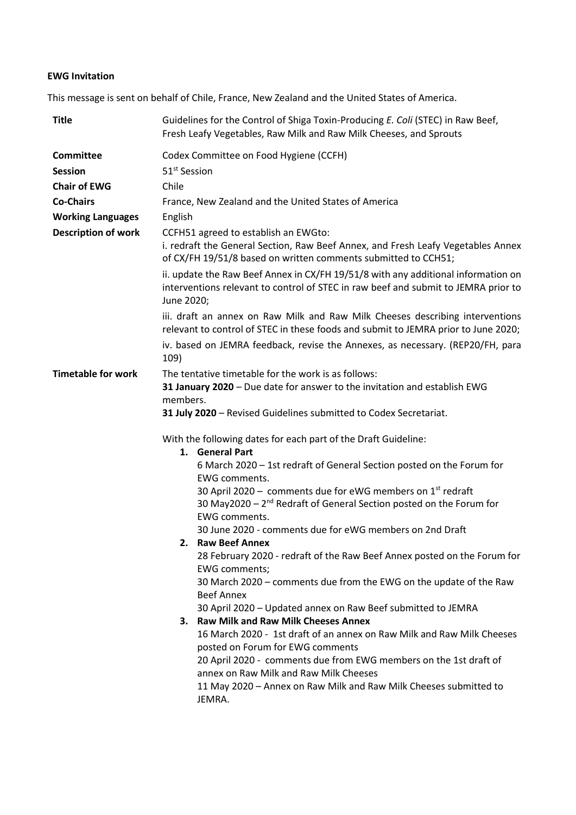## **EWG Invitation**

This message is sent on behalf of Chile, France, New Zealand and the United States of America.

| <b>Title</b>               | Guidelines for the Control of Shiga Toxin-Producing E. Coli (STEC) in Raw Beef,<br>Fresh Leafy Vegetables, Raw Milk and Raw Milk Cheeses, and Sprouts                                                                                                                                                                                                                                                                                                                                                                                                                                                                                                                                              |  |  |
|----------------------------|----------------------------------------------------------------------------------------------------------------------------------------------------------------------------------------------------------------------------------------------------------------------------------------------------------------------------------------------------------------------------------------------------------------------------------------------------------------------------------------------------------------------------------------------------------------------------------------------------------------------------------------------------------------------------------------------------|--|--|
| <b>Committee</b>           | Codex Committee on Food Hygiene (CCFH)                                                                                                                                                                                                                                                                                                                                                                                                                                                                                                                                                                                                                                                             |  |  |
| <b>Session</b>             | 51 <sup>st</sup> Session                                                                                                                                                                                                                                                                                                                                                                                                                                                                                                                                                                                                                                                                           |  |  |
| <b>Chair of EWG</b>        | Chile                                                                                                                                                                                                                                                                                                                                                                                                                                                                                                                                                                                                                                                                                              |  |  |
| <b>Co-Chairs</b>           | France, New Zealand and the United States of America                                                                                                                                                                                                                                                                                                                                                                                                                                                                                                                                                                                                                                               |  |  |
| <b>Working Languages</b>   | English                                                                                                                                                                                                                                                                                                                                                                                                                                                                                                                                                                                                                                                                                            |  |  |
| <b>Description of work</b> | CCFH51 agreed to establish an EWGto:<br>i. redraft the General Section, Raw Beef Annex, and Fresh Leafy Vegetables Annex<br>of CX/FH 19/51/8 based on written comments submitted to CCH51;                                                                                                                                                                                                                                                                                                                                                                                                                                                                                                         |  |  |
|                            | ii. update the Raw Beef Annex in CX/FH 19/51/8 with any additional information on<br>interventions relevant to control of STEC in raw beef and submit to JEMRA prior to<br>June 2020;                                                                                                                                                                                                                                                                                                                                                                                                                                                                                                              |  |  |
|                            | iii. draft an annex on Raw Milk and Raw Milk Cheeses describing interventions<br>relevant to control of STEC in these foods and submit to JEMRA prior to June 2020;                                                                                                                                                                                                                                                                                                                                                                                                                                                                                                                                |  |  |
|                            | iv. based on JEMRA feedback, revise the Annexes, as necessary. (REP20/FH, para<br>109)                                                                                                                                                                                                                                                                                                                                                                                                                                                                                                                                                                                                             |  |  |
|                            | 31 January 2020 - Due date for answer to the invitation and establish EWG<br>members.<br>31 July 2020 - Revised Guidelines submitted to Codex Secretariat.<br>With the following dates for each part of the Draft Guideline:<br>1. General Part<br>6 March 2020 - 1st redraft of General Section posted on the Forum for<br>EWG comments.<br>30 April 2020 - comments due for eWG members on 1 <sup>st</sup> redraft<br>30 May2020 - 2 <sup>nd</sup> Redraft of General Section posted on the Forum for<br><b>EWG comments.</b>                                                                                                                                                                    |  |  |
|                            | 30 June 2020 - comments due for eWG members on 2nd Draft<br>2. Raw Beef Annex<br>28 February 2020 - redraft of the Raw Beef Annex posted on the Forum for<br><b>EWG comments;</b><br>30 March 2020 - comments due from the EWG on the update of the Raw<br><b>Beef Annex</b><br>30 April 2020 - Updated annex on Raw Beef submitted to JEMRA<br>3. Raw Milk and Raw Milk Cheeses Annex<br>16 March 2020 - 1st draft of an annex on Raw Milk and Raw Milk Cheeses<br>posted on Forum for EWG comments<br>20 April 2020 - comments due from EWG members on the 1st draft of<br>annex on Raw Milk and Raw Milk Cheeses<br>11 May 2020 - Annex on Raw Milk and Raw Milk Cheeses submitted to<br>JEMRA. |  |  |